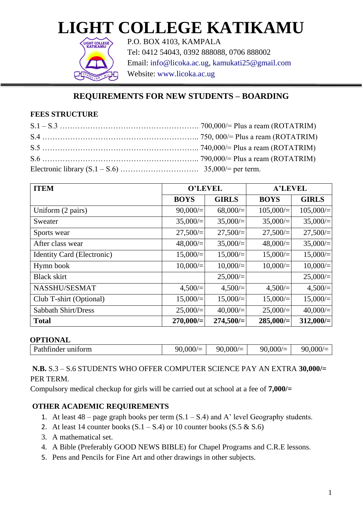# **LIGHT COLLEGE KATIKAMU**



P.O. BOX 4103, KAMPALA Tel: 0412 54043, 0392 888088, 0706 888002 Email: info@licoka.ac.ug, kamukati25@gmail.com Website: www.licoka.ac.ug

# **REQUIREMENTS FOR NEW STUDENTS – BOARDING**

#### **FEES STRUCTURE**

| <b>ITEM</b>                       | <b>O'LEVEL</b> |              | <b>A'LEVEL</b> |              |
|-----------------------------------|----------------|--------------|----------------|--------------|
|                                   | <b>BOYS</b>    | <b>GIRLS</b> | <b>BOYS</b>    | <b>GIRLS</b> |
| Uniform (2 pairs)                 | 90,000/        | $68,000/=$   | 105,000/       | $105,000/$ = |
| Sweater                           | $35,000/=$     | $35,000/=$   | 35,000/        | $35,000/$ =  |
| Sports wear                       | 27,500/        | 27,500/      | 27,500/        | $27,500 =$   |
| After class wear                  | 48,000/        | 35,000/      | 48,000/        | $35,000/$ =  |
| <b>Identity Card (Electronic)</b> | $15,000/=$     | $15,000/=$   | $15,000/=$     | $15,000/$ =  |
| Hymn book                         | $10,000/=$     | $10,000/=$   | 10,000/        | $10,000/$ =  |
| <b>Black skirt</b>                |                | 25,000/      |                | 25,000/      |
| NASSHU/SESMAT                     | 4,500/         | 4,500/       | 4,500/         | 4,500/       |
| Club T-shirt (Optional)           | $15,000/=$     | $15,000/=$   | 15,000/        | $15,000/$ =  |
| Sabbath Shirt/Dress               | $25,000/$ =    | 40,000/      | 25,000/        | $40,000/$ =  |
| <b>Total</b>                      | 270,000/       | 274,500/     | 285,000/       | $312,000/$ = |

#### **OPTIONAL**

| ______<br>__       |         |         |         |         |
|--------------------|---------|---------|---------|---------|
| Pathfinder uniform | 90,000/ | 90,000/ | 90,000/ | 90.000/ |
|                    |         |         |         |         |

## **N.B.** S.3 – S.6 STUDENTS WHO OFFER COMPUTER SCIENCE PAY AN EXTRA **30,000/=** PER TERM.

Compulsory medical checkup for girls will be carried out at school at a fee of **7,000/=**

# **OTHER ACADEMIC REQUIREMENTS**

- 1. At least  $48$  page graph books per term  $(S.1 S.4)$  and A' level Geography students.
- 2. At least 14 counter books  $(S.1 S.4)$  or 10 counter books  $(S.5 \& S.6)$
- 3. A mathematical set.
- 4. A Bible (Preferably GOOD NEWS BIBLE) for Chapel Programs and C.R.E lessons.
- 5. Pens and Pencils for Fine Art and other drawings in other subjects.